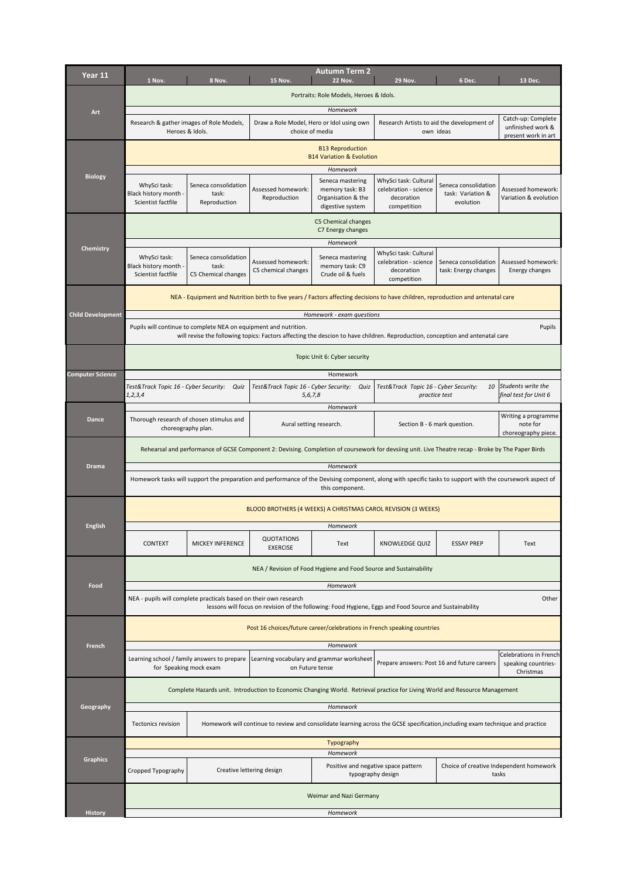| Year 11                  | 1 Nov.                                                                                                                                                                                                      | 8 Nov.                                                      | <b>15 Nov.</b>                                               | Autumn Term 2<br><b>22 Nov.</b>                                               | <b>29 Nov.</b>                                                              | 6 Dec.                                                  | 13 Dec.                                                        |  |
|--------------------------|-------------------------------------------------------------------------------------------------------------------------------------------------------------------------------------------------------------|-------------------------------------------------------------|--------------------------------------------------------------|-------------------------------------------------------------------------------|-----------------------------------------------------------------------------|---------------------------------------------------------|----------------------------------------------------------------|--|
|                          |                                                                                                                                                                                                             |                                                             |                                                              | Portraits: Role Models, Heroes & Idols.                                       |                                                                             |                                                         |                                                                |  |
| Art                      |                                                                                                                                                                                                             |                                                             |                                                              | Homework                                                                      |                                                                             |                                                         |                                                                |  |
|                          |                                                                                                                                                                                                             | Research & gather images of Role Models,<br>Heroes & Idols. | Draw a Role Model, Hero or Idol using own<br>choice of media |                                                                               |                                                                             | Research Artists to aid the development of<br>own ideas | Catch-up: Complete<br>unfinished work &<br>present work in art |  |
|                          | <b>B13 Reproduction</b><br><b>B14 Variation &amp; Evolution</b>                                                                                                                                             |                                                             |                                                              |                                                                               |                                                                             |                                                         |                                                                |  |
| <b>Biology</b>           |                                                                                                                                                                                                             |                                                             |                                                              | Homework                                                                      |                                                                             |                                                         |                                                                |  |
|                          | WhySci task:<br>Black history month -<br>Scientist factfile                                                                                                                                                 | Seneca consolidation<br>task:<br>Reproduction               | Assessed homework:<br>Reproduction                           | Seneca mastering<br>memory task: B3<br>Organisation & the<br>digestive system | WhySci task: Cultural<br>celebration - science<br>decoration<br>competition | Seneca consolidation<br>task: Variation &<br>evolution  | Assessed homework:<br>Variation & evolution                    |  |
|                          | C5 Chemical changes<br>C7 Energy changes                                                                                                                                                                    |                                                             |                                                              |                                                                               |                                                                             |                                                         |                                                                |  |
| Chemistry                | Homework                                                                                                                                                                                                    |                                                             |                                                              |                                                                               |                                                                             |                                                         |                                                                |  |
|                          | WhySci task:<br>Black history month -<br>Scientist factfile                                                                                                                                                 | Seneca consolidation<br>task:<br>C5 Chemical changes        | Assessed homework:<br>C5 chemical changes                    | Seneca mastering<br>memory task: C9<br>Crude oil & fuels                      | WhySci task: Cultural<br>celebration - science<br>decoration<br>competition | Seneca consolidation<br>task: Energy changes            | Assessed homework:<br>Energy changes                           |  |
|                          | NEA - Equipment and Nutrition birth to five years / Factors affecting decisions to have children, reproduction and antenatal care                                                                           |                                                             |                                                              |                                                                               |                                                                             |                                                         |                                                                |  |
| <b>Child Development</b> |                                                                                                                                                                                                             |                                                             |                                                              | Homework - exam questions                                                     |                                                                             |                                                         |                                                                |  |
|                          | Pupils will continue to complete NEA on equipment and nutrition.<br>Pupils<br>will revise the following topics: Factors affecting the descion to have children. Reproduction, conception and antenatal care |                                                             |                                                              |                                                                               |                                                                             |                                                         |                                                                |  |
|                          | Topic Unit 6: Cyber security                                                                                                                                                                                |                                                             |                                                              |                                                                               |                                                                             |                                                         |                                                                |  |
| <b>Computer Science</b>  |                                                                                                                                                                                                             |                                                             |                                                              | Homework                                                                      |                                                                             |                                                         |                                                                |  |
|                          | Test&Track Topic 16 - Cyber Security: Quiz<br>1, 2, 3, 4                                                                                                                                                    |                                                             | Test&Track Topic 16 - Cyber Security: Quiz<br>5, 6, 7, 8     | Homework                                                                      | Test&Track Topic 16 - Cyber Security:<br>practice test                      | 10                                                      | Students write the<br>final test for Unit 6                    |  |
| <b>Dance</b>             |                                                                                                                                                                                                             | Thorough research of chosen stimulus and                    |                                                              |                                                                               |                                                                             |                                                         | Writing a programme                                            |  |
|                          |                                                                                                                                                                                                             | choreography plan.                                          |                                                              | Aural setting research.                                                       |                                                                             | Section B - 6 mark question.                            | note for<br>choreography piece.                                |  |
|                          | Rehearsal and performance of GCSE Component 2: Devising. Completion of coursework for devsiing unit. Live Theatre recap - Broke by The Paper Birds                                                          |                                                             |                                                              |                                                                               |                                                                             |                                                         |                                                                |  |
| <b>Drama</b>             | Homework                                                                                                                                                                                                    |                                                             |                                                              |                                                                               |                                                                             |                                                         |                                                                |  |
|                          | Homework tasks will support the preparation and performance of the Devising component, along with specific tasks to support with the coursework aspect of<br>this component.                                |                                                             |                                                              |                                                                               |                                                                             |                                                         |                                                                |  |
|                          | BLOOD BROTHERS (4 WEEKS) A CHRISTMAS CAROL REVISION (3 WEEKS)                                                                                                                                               |                                                             |                                                              |                                                                               |                                                                             |                                                         |                                                                |  |
| <b>English</b>           |                                                                                                                                                                                                             |                                                             |                                                              | Homework                                                                      |                                                                             |                                                         |                                                                |  |
|                          | CONTEXT                                                                                                                                                                                                     | MICKEY INFERENCE                                            | <b>QUOTATIONS</b><br><b>EXERCISE</b>                         | Text                                                                          | <b>KNOWLEDGE QUIZ</b>                                                       | <b>ESSAY PREP</b>                                       | Text                                                           |  |
|                          | NEA / Revision of Food Hygiene and Food Source and Sustainability                                                                                                                                           |                                                             |                                                              |                                                                               |                                                                             |                                                         |                                                                |  |
| Food                     | Homework                                                                                                                                                                                                    |                                                             |                                                              |                                                                               |                                                                             |                                                         |                                                                |  |
|                          | NEA - pupils will complete practicals based on their own research<br>Other<br>lessons will focus on revision of the following: Food Hygiene, Eggs and Food Source and Sustainability                        |                                                             |                                                              |                                                                               |                                                                             |                                                         |                                                                |  |
|                          | Post 16 choices/future career/celebrations in French speaking countries                                                                                                                                     |                                                             |                                                              |                                                                               |                                                                             |                                                         |                                                                |  |
| French                   |                                                                                                                                                                                                             |                                                             |                                                              | Homework                                                                      |                                                                             |                                                         | Celebrations in French                                         |  |
|                          | Learning school / family answers to prepare<br>Learning vocabulary and grammar worksheet<br>Prepare answers: Post 16 and future careers<br>for Speaking mock exam<br>on Future tense                        |                                                             |                                                              |                                                                               |                                                                             |                                                         | speaking countries-<br>Christmas                               |  |
| Geography                | Complete Hazards unit. Introduction to Economic Changing World. Retrieval practice for Living World and Resource Management                                                                                 |                                                             |                                                              |                                                                               |                                                                             |                                                         |                                                                |  |
|                          | Homework<br>Homework will continue to review and consolidate learning across the GCSE specification, including exam technique and practice<br><b>Tectonics revision</b>                                     |                                                             |                                                              |                                                                               |                                                                             |                                                         |                                                                |  |
|                          | Typography                                                                                                                                                                                                  |                                                             |                                                              |                                                                               |                                                                             |                                                         |                                                                |  |
| <b>Graphics</b>          | Homework                                                                                                                                                                                                    |                                                             |                                                              |                                                                               |                                                                             |                                                         |                                                                |  |
|                          | Cropped Typography                                                                                                                                                                                          | Creative lettering design                                   |                                                              | Positive and negative space pattern<br>typography design                      |                                                                             | Choice of creative Independent homework<br>tasks        |                                                                |  |
|                          | Weimar and Nazi Germany                                                                                                                                                                                     |                                                             |                                                              |                                                                               |                                                                             |                                                         |                                                                |  |
| History                  | Homework                                                                                                                                                                                                    |                                                             |                                                              |                                                                               |                                                                             |                                                         |                                                                |  |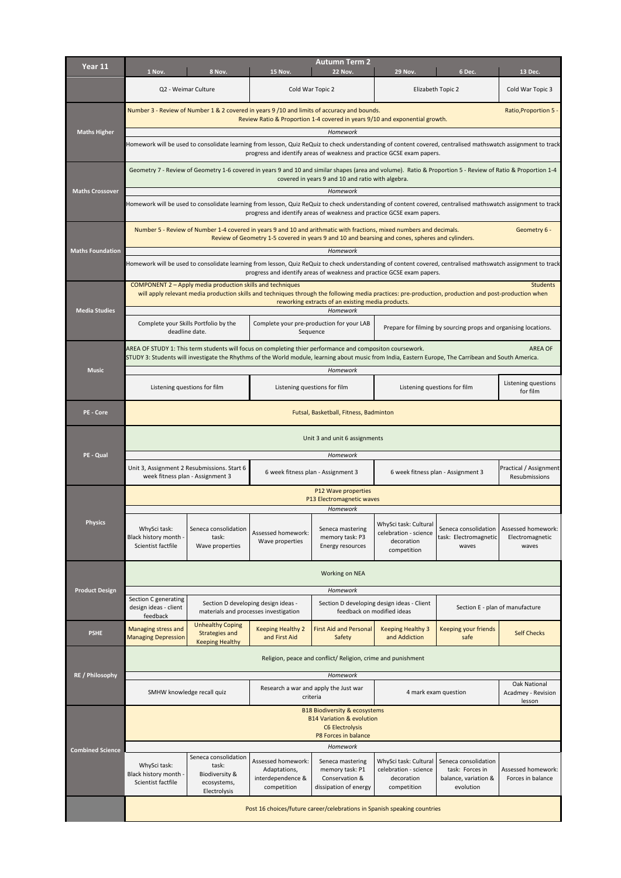| Year 11                 | <b>Autumn Term 2</b><br>1 Nov.<br>8 Nov.<br><b>15 Nov.</b><br><b>22 Nov.</b><br><b>29 Nov.</b><br>6 Dec.<br>13 Dec.                                                                                                                                                                  |                                                  |                                                                              |                                                                                                                                                              |                                                                             |                                                                 |                                                |  |  |
|-------------------------|--------------------------------------------------------------------------------------------------------------------------------------------------------------------------------------------------------------------------------------------------------------------------------------|--------------------------------------------------|------------------------------------------------------------------------------|--------------------------------------------------------------------------------------------------------------------------------------------------------------|-----------------------------------------------------------------------------|-----------------------------------------------------------------|------------------------------------------------|--|--|
|                         |                                                                                                                                                                                                                                                                                      | Q2 - Weimar Culture                              |                                                                              | Cold War Topic 2                                                                                                                                             |                                                                             | Elizabeth Topic 2                                               | Cold War Topic 3                               |  |  |
|                         | Number 3 - Review of Number 1 & 2 covered in years 9 /10 and limits of accuracy and bounds.<br>Ratio, Proportion 5<br>Review Ratio & Proportion 1-4 covered in years 9/10 and exponential growth.                                                                                    |                                                  |                                                                              |                                                                                                                                                              |                                                                             |                                                                 |                                                |  |  |
| <b>Maths Higher</b>     | Homework<br>Homework will be used to consolidate learning from lesson, Quiz ReQuiz to check understanding of content covered, centralised mathswatch assignment to track<br>progress and identify areas of weakness and practice GCSE exam papers.                                   |                                                  |                                                                              |                                                                                                                                                              |                                                                             |                                                                 |                                                |  |  |
| <b>Maths Crossover</b>  | Geometry 7 - Review of Geometry 1-6 covered in years 9 and 10 and similar shapes (area and volume). Ratio & Proportion 5 - Review of Ratio & Proportion 1-4<br>covered in years 9 and 10 and ratio with algebra.                                                                     |                                                  |                                                                              |                                                                                                                                                              |                                                                             |                                                                 |                                                |  |  |
|                         | Homework                                                                                                                                                                                                                                                                             |                                                  |                                                                              |                                                                                                                                                              |                                                                             |                                                                 |                                                |  |  |
|                         | Homework will be used to consolidate learning from lesson, Quiz ReQuiz to check understanding of content covered, centralised mathswatch assignment to track<br>progress and identify areas of weakness and practice GCSE exam papers.                                               |                                                  |                                                                              |                                                                                                                                                              |                                                                             |                                                                 |                                                |  |  |
| <b>Maths Foundation</b> | Number 5 - Review of Number 1-4 covered in years 9 and 10 and arithmatic with fractions, mixed numbers and decimals.<br>Geometry 6 -<br>Review of Geometry 1-5 covered in years 9 and 10 and bearsing and cones, spheres and cylinders.<br>Homework                                  |                                                  |                                                                              |                                                                                                                                                              |                                                                             |                                                                 |                                                |  |  |
|                         |                                                                                                                                                                                                                                                                                      |                                                  |                                                                              | Homework will be used to consolidate learning from lesson, Quiz ReQuiz to check understanding of content covered, centralised mathswatch assignment to track |                                                                             |                                                                 |                                                |  |  |
|                         | progress and identify areas of weakness and practice GCSE exam papers.<br>COMPONENT 2 - Apply media production skills and techniques<br><b>Students</b>                                                                                                                              |                                                  |                                                                              |                                                                                                                                                              |                                                                             |                                                                 |                                                |  |  |
| <b>Media Studies</b>    | will apply relevant media production skills and techniques through the following media practices: pre-production, production and post-production when<br>reworking extracts of an existing media products.<br>Homework                                                               |                                                  |                                                                              |                                                                                                                                                              |                                                                             |                                                                 |                                                |  |  |
|                         | Complete your Skills Portfolio by the<br>deadline date.                                                                                                                                                                                                                              |                                                  | Complete your pre-production for your LAB<br>Sequence                        |                                                                                                                                                              |                                                                             | Prepare for filming by sourcing props and organising locations. |                                                |  |  |
|                         | AREA OF STUDY 1: This term students will focus on completing thier performance and compositon coursework.<br><b>AREA OF</b><br>STUDY 3: Students will investigate the Rhythms of the World module, learning about music from India, Eastern Europe, The Carribean and South America. |                                                  |                                                                              |                                                                                                                                                              |                                                                             |                                                                 |                                                |  |  |
| <b>Music</b>            |                                                                                                                                                                                                                                                                                      |                                                  | Homework                                                                     |                                                                                                                                                              |                                                                             |                                                                 |                                                |  |  |
|                         | Listening questions for film                                                                                                                                                                                                                                                         |                                                  | Listening questions for film                                                 |                                                                                                                                                              | Listening questions for film                                                |                                                                 | Listening questions<br>for film                |  |  |
| PE - Core               | Futsal, Basketball, Fitness, Badminton                                                                                                                                                                                                                                               |                                                  |                                                                              |                                                                                                                                                              |                                                                             |                                                                 |                                                |  |  |
|                         | Unit 3 and unit 6 assignments                                                                                                                                                                                                                                                        |                                                  |                                                                              |                                                                                                                                                              |                                                                             |                                                                 |                                                |  |  |
| PE - Qual               | Unit 3, Assignment 2 Resubmissions. Start 6<br>week fitness plan - Assignment 3                                                                                                                                                                                                      |                                                  | Homework<br>6 week fitness plan - Assignment 3                               |                                                                                                                                                              | 6 week fitness plan - Assignment 3                                          |                                                                 | Practical / Assignment<br>Resubmissions        |  |  |
|                         | P12 Wave properties<br>P13 Electromagnetic waves                                                                                                                                                                                                                                     |                                                  |                                                                              |                                                                                                                                                              |                                                                             |                                                                 |                                                |  |  |
|                         |                                                                                                                                                                                                                                                                                      |                                                  |                                                                              | Homework                                                                                                                                                     |                                                                             |                                                                 |                                                |  |  |
| <b>Physics</b>          | WhySci task:<br>Black history month -<br>Scientist factfile                                                                                                                                                                                                                          | Seneca consolidation<br>task:<br>Wave properties | Assessed homework:<br>Wave properties                                        | Seneca mastering<br>memory task: P3<br>Energy resources                                                                                                      | WhySci task: Cultural<br>celebration - science<br>decoration<br>competition | Seneca consolidation<br>task: Electromagnetic<br>waves          | Assessed homework:<br>Electromagnetic<br>waves |  |  |
|                         | Working on NEA                                                                                                                                                                                                                                                                       |                                                  |                                                                              |                                                                                                                                                              |                                                                             |                                                                 |                                                |  |  |
| <b>Product Design</b>   | Section C generating                                                                                                                                                                                                                                                                 |                                                  |                                                                              | Homework                                                                                                                                                     |                                                                             |                                                                 |                                                |  |  |
|                         | design ideas - client<br>feedback                                                                                                                                                                                                                                                    | <b>Unhealthy Coping</b>                          | Section D developing design ideas -<br>materials and processes investigation |                                                                                                                                                              | Section D developing design ideas - Client<br>feedback on modified ideas    |                                                                 | Section E - plan of manufacture                |  |  |
| <b>PSHE</b>             | Managing stress and<br><b>Managing Depression</b>                                                                                                                                                                                                                                    | <b>Strategies and</b><br><b>Keeping Healthy</b>  | <b>Keeping Healthy 2</b><br>and First Aid                                    | <b>First Aid and Persona</b><br>Safety                                                                                                                       | <b>Keeping Healthy 3</b><br>and Addiction                                   | <b>Keeping your friends</b><br>safe                             | <b>Self Checks</b>                             |  |  |
|                         | Religion, peace and conflict/ Religion, crime and punishment                                                                                                                                                                                                                         |                                                  |                                                                              |                                                                                                                                                              |                                                                             |                                                                 |                                                |  |  |
| RE / Philosophy         | SMHW knowledge recall quiz                                                                                                                                                                                                                                                           |                                                  | Homework<br>Research a war and apply the Just war<br>criteria                |                                                                                                                                                              | 4 mark exam question                                                        |                                                                 | Oak National<br>Acadmey - Revision<br>lesson   |  |  |
|                         | <b>B18 Biodiversity &amp; ecosystems</b><br><b>B14 Variation &amp; evolution</b><br><b>C6 Electrolysis</b>                                                                                                                                                                           |                                                  |                                                                              |                                                                                                                                                              |                                                                             |                                                                 |                                                |  |  |
| <b>Combined Science</b> | P8 Forces in balance<br>Homework                                                                                                                                                                                                                                                     |                                                  |                                                                              |                                                                                                                                                              |                                                                             |                                                                 |                                                |  |  |
|                         | WhySci task:                                                                                                                                                                                                                                                                         | Seneca consolidation<br>task:                    | Assessed homework:                                                           | Seneca mastering                                                                                                                                             | WhySci task: Cultural                                                       | Seneca consolidation                                            |                                                |  |  |
|                         | Black history month -<br>Scientist factfile                                                                                                                                                                                                                                          | Biodiversity &<br>ecosystems,<br>Electrolysis    | Adaptations,<br>interdependence &<br>competition                             | memory task: P1<br>Conservation &<br>dissipation of energy                                                                                                   | celebration - science<br>decoration<br>competition                          | task: Forces in<br>balance, variation &<br>evolution            | Assessed homework:<br>Forces in balance        |  |  |
|                         | Post 16 choices/future career/celebrations in Spanish speaking countries                                                                                                                                                                                                             |                                                  |                                                                              |                                                                                                                                                              |                                                                             |                                                                 |                                                |  |  |